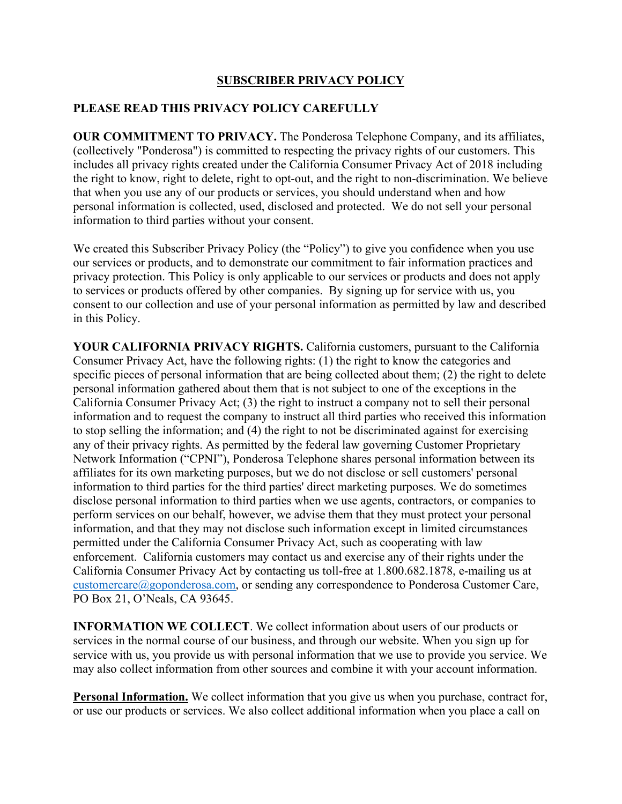## **SUBSCRIBER PRIVACY POLICY**

## **PLEASE READ THIS PRIVACY POLICY CAREFULLY**

**OUR COMMITMENT TO PRIVACY.** The Ponderosa Telephone Company, and its affiliates, (collectively "Ponderosa") is committed to respecting the privacy rights of our customers. This includes all privacy rights created under the California Consumer Privacy Act of 2018 including the right to know, right to delete, right to opt-out, and the right to non-discrimination. We believe that when you use any of our products or services, you should understand when and how personal information is collected, used, disclosed and protected. We do not sell your personal information to third parties without your consent.

We created this Subscriber Privacy Policy (the "Policy") to give you confidence when you use our services or products, and to demonstrate our commitment to fair information practices and privacy protection. This Policy is only applicable to our services or products and does not apply to services or products offered by other companies. By signing up for service with us, you consent to our collection and use of your personal information as permitted by law and described in this Policy.

**YOUR CALIFORNIA PRIVACY RIGHTS.** California customers, pursuant to the California Consumer Privacy Act, have the following rights: (1) the right to know the categories and specific pieces of personal information that are being collected about them; (2) the right to delete personal information gathered about them that is not subject to one of the exceptions in the California Consumer Privacy Act; (3) the right to instruct a company not to sell their personal information and to request the company to instruct all third parties who received this information to stop selling the information; and (4) the right to not be discriminated against for exercising any of their privacy rights. As permitted by the federal law governing Customer Proprietary Network Information ("CPNI"), Ponderosa Telephone shares personal information between its affiliates for its own marketing purposes, but we do not disclose or sell customers' personal information to third parties for the third parties' direct marketing purposes. We do sometimes disclose personal information to third parties when we use agents, contractors, or companies to perform services on our behalf, however, we advise them that they must protect your personal information, and that they may not disclose such information except in limited circumstances permitted under the California Consumer Privacy Act, such as cooperating with law enforcement. California customers may contact us and exercise any of their rights under the California Consumer Privacy Act by contacting us toll-free at 1.800.682.1878, e-mailing us at customercare@goponderosa.com, or sending any correspondence to Ponderosa Customer Care, PO Box 21, O'Neals, CA 93645.

**INFORMATION WE COLLECT**. We collect information about users of our products or services in the normal course of our business, and through our website. When you sign up for service with us, you provide us with personal information that we use to provide you service. We may also collect information from other sources and combine it with your account information.

**Personal Information.** We collect information that you give us when you purchase, contract for, or use our products or services. We also collect additional information when you place a call on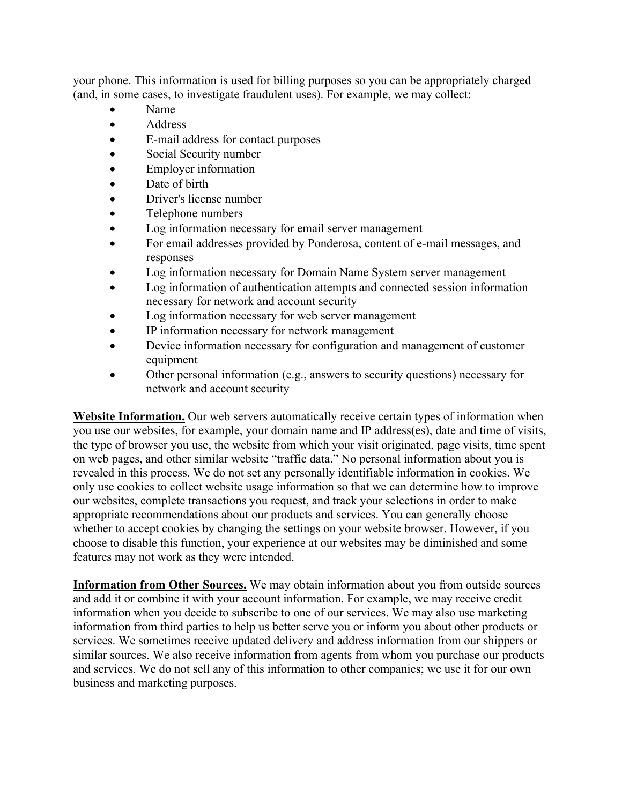your phone. This information is used for billing purposes so you can be appropriately charged (and, in some cases, to investigate fraudulent uses). For example, we may collect:

- Name
- Address
- E-mail address for contact purposes
- Social Security number
- Employer information
- Date of birth
- Driver's license number
- Telephone numbers
- Log information necessary for email server management
- For email addresses provided by Ponderosa, content of e-mail messages, and responses
- Log information necessary for Domain Name System server management
- Log information of authentication attempts and connected session information necessary for network and account security
- Log information necessary for web server management
- IP information necessary for network management
- Device information necessary for configuration and management of customer equipment
- Other personal information (e.g., answers to security questions) necessary for network and account security

**Website Information.** Our web servers automatically receive certain types of information when you use our websites, for example, your domain name and IP address(es), date and time of visits, the type of browser you use, the website from which your visit originated, page visits, time spent on web pages, and other similar website "traffic data." No personal information about you is revealed in this process. We do not set any personally identifiable information in cookies. We only use cookies to collect website usage information so that we can determine how to improve our websites, complete transactions you request, and track your selections in order to make appropriate recommendations about our products and services. You can generally choose whether to accept cookies by changing the settings on your website browser. However, if you choose to disable this function, your experience at our websites may be diminished and some features may not work as they were intended.

**Information from Other Sources.** We may obtain information about you from outside sources and add it or combine it with your account information. For example, we may receive credit information when you decide to subscribe to one of our services. We may also use marketing information from third parties to help us better serve you or inform you about other products or services. We sometimes receive updated delivery and address information from our shippers or similar sources. We also receive information from agents from whom you purchase our products and services. We do not sell any of this information to other companies; we use it for our own business and marketing purposes.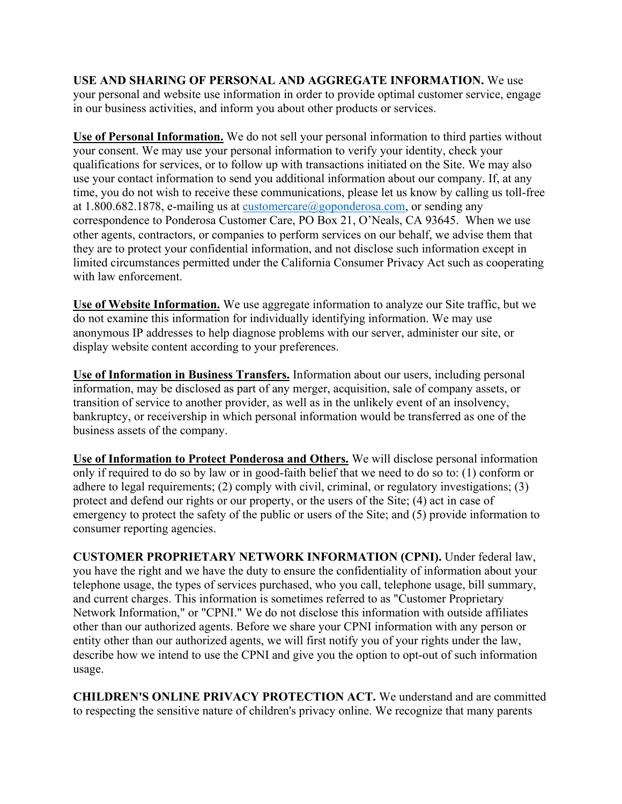**USE AND SHARING OF PERSONAL AND AGGREGATE INFORMATION.** We use your personal and website use information in order to provide optimal customer service, engage in our business activities, and inform you about other products or services.

**Use of Personal Information.** We do not sell your personal information to third parties without your consent. We may use your personal information to verify your identity, check your qualifications for services, or to follow up with transactions initiated on the Site. We may also use your contact information to send you additional information about our company. If, at any time, you do not wish to receive these communications, please let us know by calling us toll-free at 1.800.682.1878, e-mailing us at  $\frac{\text{customer}(\text{algeponderosa.com})}{\text{caption}}$  or sending any correspondence to Ponderosa Customer Care, PO Box 21, O'Neals, CA 93645. When we use other agents, contractors, or companies to perform services on our behalf, we advise them that they are to protect your confidential information, and not disclose such information except in limited circumstances permitted under the California Consumer Privacy Act such as cooperating with law enforcement.

**Use of Website Information.** We use aggregate information to analyze our Site traffic, but we do not examine this information for individually identifying information. We may use anonymous IP addresses to help diagnose problems with our server, administer our site, or display website content according to your preferences.

**Use of Information in Business Transfers.** Information about our users, including personal information, may be disclosed as part of any merger, acquisition, sale of company assets, or transition of service to another provider, as well as in the unlikely event of an insolvency, bankruptcy, or receivership in which personal information would be transferred as one of the business assets of the company.

**Use of Information to Protect Ponderosa and Others.** We will disclose personal information only if required to do so by law or in good-faith belief that we need to do so to: (1) conform or adhere to legal requirements; (2) comply with civil, criminal, or regulatory investigations; (3) protect and defend our rights or our property, or the users of the Site; (4) act in case of emergency to protect the safety of the public or users of the Site; and (5) provide information to consumer reporting agencies.

**CUSTOMER PROPRIETARY NETWORK INFORMATION (CPNI).** Under federal law, you have the right and we have the duty to ensure the confidentiality of information about your telephone usage, the types of services purchased, who you call, telephone usage, bill summary, and current charges. This information is sometimes referred to as "Customer Proprietary Network Information," or "CPNI." We do not disclose this information with outside affiliates other than our authorized agents. Before we share your CPNI information with any person or entity other than our authorized agents, we will first notify you of your rights under the law, describe how we intend to use the CPNI and give you the option to opt-out of such information usage.

**CHILDREN'S ONLINE PRIVACY PROTECTION ACT.** We understand and are committed to respecting the sensitive nature of children's privacy online. We recognize that many parents